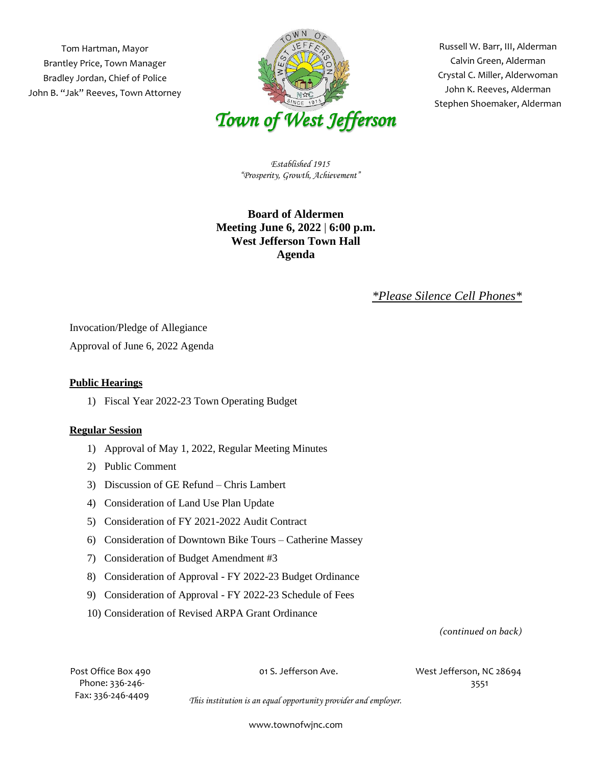Tom Hartman, Mayor Brantley Price, Town Manager Bradley Jordan, Chief of Police John B. "Jak" Reeves, Town Attorney



 Russell W. Barr, III, Alderman Crystal C. Miller, Alderwoman Stephen Shoemaker, Alderman Calvin Green, Alderman John K. Reeves, Alderman

*Established 1915 "Prosperity, Growth, Achievement"*

## **Board of Aldermen Meeting June 6, 2022** | **6:00 p.m. West Jefferson Town Hall Agenda**

## *\*Please Silence Cell Phones\**

Invocation/Pledge of Allegiance

Approval of June 6, 2022 Agenda

## **Public Hearings**

1) Fiscal Year 2022-23 Town Operating Budget

## **Regular Session**

- 1) Approval of May 1, 2022, Regular Meeting Minutes
- 2) Public Comment
- 3) Discussion of GE Refund Chris Lambert
- 4) Consideration of Land Use Plan Update
- 5) Consideration of FY 2021-2022 Audit Contract
- 6) Consideration of Downtown Bike Tours Catherine Massey
- 7) Consideration of Budget Amendment #3
- 8) Consideration of Approval FY 2022-23 Budget Ordinance
- 9) Consideration of Approval FY 2022-23 Schedule of Fees
- 10) Consideration of Revised ARPA Grant Ordinance

*(continued on back)*

Phone: 336-246- 3551 Fax: 336-246-4409

Post Office Box 490 01 S. Jefferson Ave. West Jefferson, NC 28694

*This institution is an equal opportunity provider and employer.*

www.townofwjnc.com